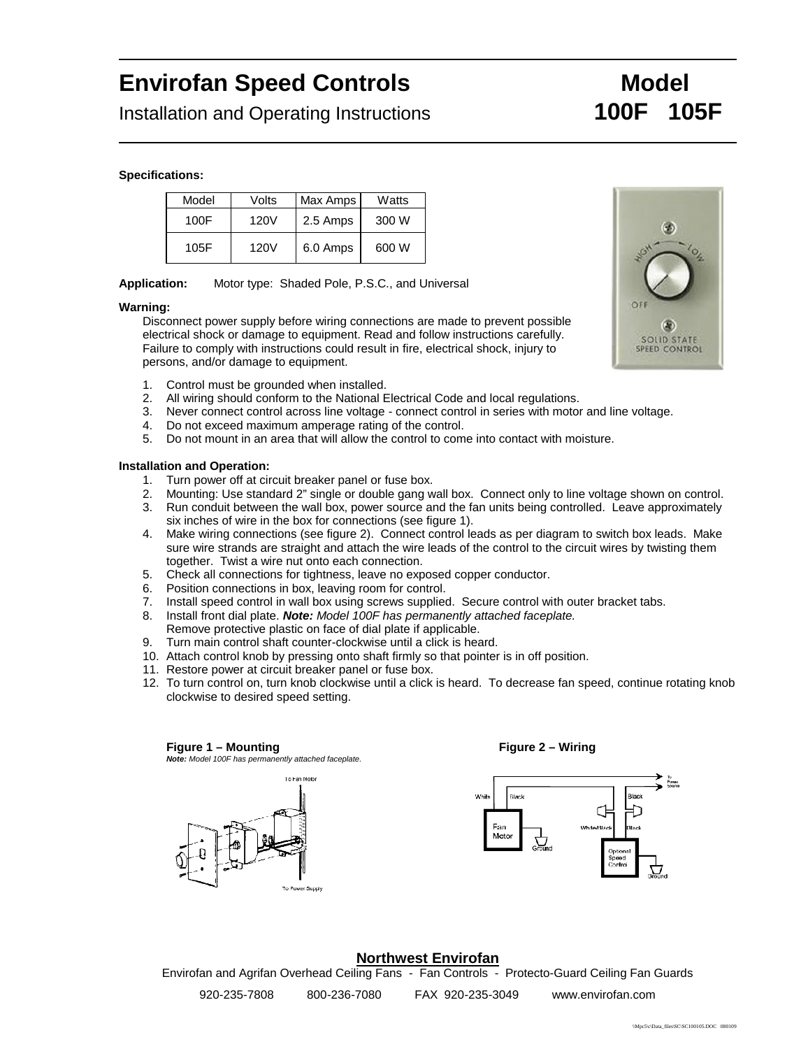# Envirofan Speed Controls **Model**

Installation and Operating Instructions 100F 105F

Specifications:

| Model | Volts | Max Amps | Watts |
|-------|-------|----------|-------|
| 100F  | 120V  | 2.5 Amps | 300 W |
| 105F  | 120V  | 6.0 Amps | 600 W |

Application: Motor type: Shaded Pole, P.S.C., and Universal

### Warning:

Disconnect power supply before wiring connections are made to prevent possible electrical shock or damage to equipment. Read and follow instructions carefully. Failure to comply with instructions could result in fire, electrical shock, injury to persons, and/or damage to equipment.

- 1. Control must be grounded when installed.
- 2. All wiring should conform to the National Electrical Code and local regulations.
- Never connect control across line voltage connect control in series with motor and line voltage.
- 4. Do not exceed maximum amperage rating of the control.
- 5. Do not mount in an area that will allow the control to come into contact with moisture.

Installation and Operation:

- 1. Turn power off at circuit breaker panel or fuse box.
- 2. Mounting: Use standard 2€ single or double gang wall box. Connect only to line voltage shown on control.
- 3. Run conduit between the wall box, power source and the fan units being controlled. Leave approximately six inches of wire in the box for connections (see figure 1).
- 4. Make wiring connections (see figure 2). Connect control leads as per diagram to switch box leads. Make sure wire strands are straight and attach the wire leads of the control to the circuit wires by twisting them together. Twist a wire nut onto each connection.
- 5. Check all connections for tightness, leave no exposed copper conductor.
- 6. Position connections in box, leaving room for control.
- 7. Install speed control in wall box using screws supplied. Secure control with outer bracket tabs.
- 8. Install front dial plate. Note: Model 100F has permanently attached faceplate.
- Remove protective plastic on face of dial plate if applicable.
- 9. Turn main control shaft counter-clockwise until a click is heard.
- 10. Attach control knob by pressing onto shaft firmly so that pointer is in off position.
- 11. Restore power at circuit breaker panel or fuse box.
- 12. To turn control on, turn knob clockwise until a click is heard. To decrease fan speed, continue rotating knob clockwise to desired speed setting.

Figure 1 € Mounting Figure 2 € Wiring Figure 2 € Wiring Note: Model 100F has permanently attached faceplate.